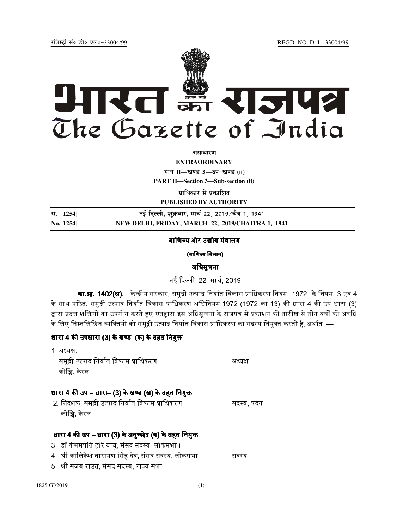jftLVªh laö Mhö ,yö&33004@99 REGD. NO. D. L.-33004/99



*<u>ature</u>lian* 

**EXTRAORDINARY**

**Hkkx II—[k.M 3—mi&[k.M (ii)**

**PART II—Section 3—Sub-section (ii)** 

**प्राधिकार से प्रकाशित** 

**PUBLISHED BY AUTHORITY**

**la- 1254] ubZ fnYyh] 'kqØokj] ekp Z 22] 2019@p S=k 1] 1941 No. 1254] NEW DELHI, FRIDAY, MARCH 22, 2019/CHAITRA 1, 1941**

#### वाणिज्य और उद्योग मंत्रालय

(वाणिज्य विभाग)

## अधिसूचना

नई दिल्ली, 22 मार्च, 2019

**का.आ. 1402(अ).**—केन्द्रीय सरकार. समद्री उत्पाद निर्यात विकास प्राधिकरण नियम. 1972 के नियम 3 एवं 4 के साथ पठित. समद्री उत्पाद निर्यात विकास प्राधिकरण अधिनियम.1972 (1972 का 13) की धारा 4 की उप धारा (3) द्वारा प्रदत्त शक्तियों का उपयोग करते हुए एतद्दारा इस अधिसचना के राजपत्र में प्रकाशन की तारीख से तीन वर्षों की अवधि के लिए निम्नलिखित व्यक्तियों को समद्री उत्पाद निर्यात विकास प्राधिकरण का सदस्य नियक्त करती है. अर्थात :—

## धारा 4 की उपधारा (3) के खण्ड (क) के तहत नियक्त

| 1 अध्यक्ष.<br>समुद्री उत्पाद निर्यात विकास प्राधिकरण,<br>कोच्चि, केरल                                                                                                                                          | अध्यक्ष     |
|----------------------------------------------------------------------------------------------------------------------------------------------------------------------------------------------------------------|-------------|
| धारा 4 की उप – धारा– (3) के खण्ड (ख) के तहत नियुक्त<br>2. निदेशक, समुद्री उत्पाद निर्यात विकास प्राधिकरण,<br>कोच्चि, केरल                                                                                      | सदस्य, पदेन |
| धारा 4 की उप – धारा (3) के अनुच्छेद (ग) के तहत नियुक्त<br>3.  डॉ कंभमपति हरि बाबू, संसद सदस्य, लोकसभा ।<br>4.  श्री कालिकेश नारायण सिंह देव, संसद सदस्य, लोकसभा<br>5   श्री संजय राउत, संसद सदस्य, राज्य सभा । | सदस्य       |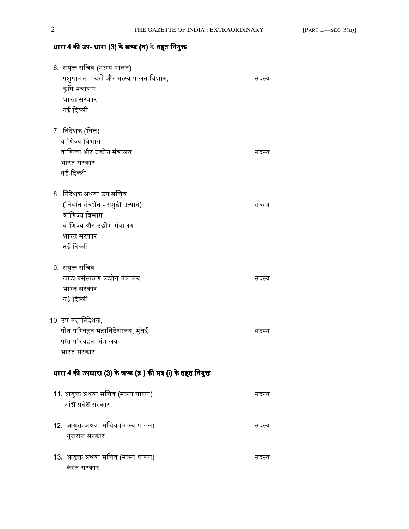# धारा 4 की उप- धारा (3) के खण्ड (घ) के तहत नियुक्त

| 6. संयुक्त सचिव (मत्स्य पालन)                               |       |
|-------------------------------------------------------------|-------|
| पशुपालन, डेयरी और मत्स्य पालन विभाग,                        | सदस्य |
| कृषि मंत्रालय                                               |       |
| भारत सरकार                                                  |       |
| नई दिल्ली                                                   |       |
|                                                             |       |
| 7. निदेशक (वित्त)                                           |       |
| वाणिज्य विभाग                                               |       |
| वाणिज्य और उद्योग मंत्रालय                                  | सदस्य |
| भारत सरकार                                                  |       |
| नई दिल्ली                                                   |       |
|                                                             |       |
| 8   निदेशक अथवा उप सचिव                                     |       |
| (निर्यात संवर्धन - समुद्री उत्पाद)                          | सदस्य |
| वाणिज्य विभाग                                               |       |
| वाणिज्य और उद्योग मंत्रालय                                  |       |
| भारत सरकार                                                  |       |
| नई दिल्ली                                                   |       |
|                                                             |       |
| 9.  संयुक्त सचिव                                            |       |
| खाद्य प्रसंस्करण उद्योग मंत्रालय                            | सदस्य |
| भारत सरकार                                                  |       |
| नई दिल्ली                                                   |       |
|                                                             |       |
| 10. उप महानिदेशक,                                           |       |
| पोत परिवहन महानिदेशालय, मुंबई                               | सदस्य |
| पोत परिवहन मंत्रालय                                         |       |
| भारत सरकार                                                  |       |
|                                                             |       |
| धारा 4 की उपधारा (3) के खण्ड (ड़.) की मद (i) के तहत नियुक्त |       |
|                                                             |       |
| 11. आयुक्त अथवा सचिव (मत्स्य पालन)                          | सदस्य |
| आंध्र प्रदेश सरकार                                          |       |
|                                                             |       |
| 12.  आयुक्त अथवा सचिव (मत्स्य पालन)                         | सदस्य |
| गुजरात सरकार                                                |       |
|                                                             |       |
| 13. आयुक्त अथवा सचिव (मत्स्य पालन)                          | सदस्य |
| केरल सरकार                                                  |       |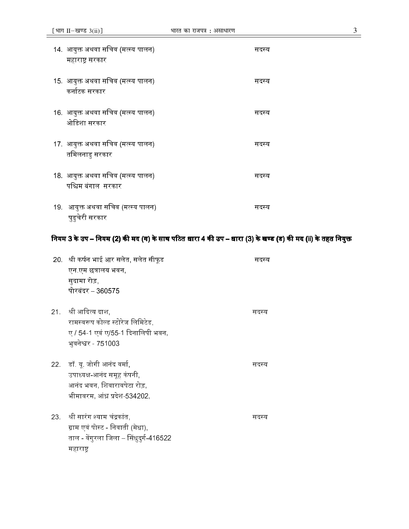| 14.  आयुक्त अथवा सचिव (मत्स्य पालन)<br>महाराष्ट्र सरकार   | सदस्य |
|-----------------------------------------------------------|-------|
| 15.  आयुक्त अथवा सचिव (मत्स्य पालन)<br>कर्नाटक सरकार      | सदस्य |
| 16.  आयुक्त अथवा सचिव (मत्स्य पालन)<br>ओडिशा सरकार        | सदस्य |
| 17.  आयुक्त अथवा सचिव (मत्स्य पालन)<br>तमिलनाडु सरकार     | सदस्य |
| 18.  आयुक्त अथवा सचिव (मत्स्य पालन)<br>पश्चिम बंगाल_सरकार | सदस्य |
| 19. आयुक्त अथवा सचिव (मत्स्य पालन)<br>पुडुचेरी सरकार      | सदस्य |

#### नियम 3 के उप – नियम (2) की मद (ग) के साथ पठित धारा 4 की उप – धारा (3) के खण्ड (ड) की मद (ii) के तहत नियक्त

| 20. श्री कर्षन भाई आर सलेत, सलेत सीफूड  | सदस्य |
|-----------------------------------------|-------|
| एन एम छत्रालय भवन,                      |       |
| सुदामा रोड़,                            |       |
| पोरबंदर – 360575                        |       |
| 21. श्री आदित्य दाश,                    | सदस्य |
| रामस्वरूप कोल्ड स्टोरेज लिमिटेड,        |       |
| ए / 54-1 एवं ए/55-1 दिनालिपी भवन,       |       |
| भुवनेश्वर - 751003                      |       |
| 22. डॉ. यू. जोगी आनंद वर्मा,            | सदस्य |
| उपाध्यक्ष-आनंद समूह कंपनी,              |       |
| आनंद भवन, शिवारावपेटा रोड़,             |       |
| भीमावरम, आंध्र प्रदेश-534202,           |       |
| 23. श्री सारंग श्याम चंद्रकांत,         | सदस्य |
| ग्राम एवं पोस्ट - निवाती (मेधा),        |       |
| ताल - वेंगुरला जिला – सिंधुदुर्ग-416522 |       |
| महाराष्ट्र                              |       |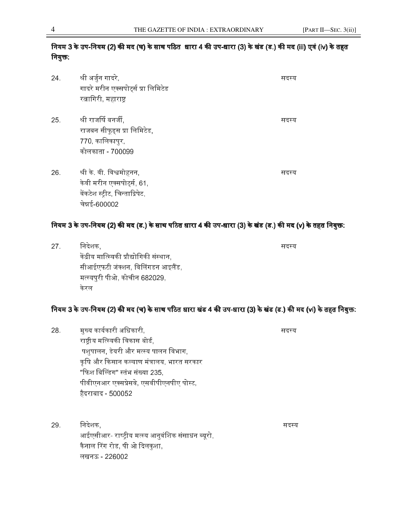## नियम 3 के उप-नियम (2) की मद (घ) के साथ पठित धारा 4 की उप-धारा (3) के खंड (ड.) की मद (iii) एवं (iv) के तहत नियुक्त:

| 24. | श्री अर्जुन गादरे,<br>गादरे मरीन एक्सपोर्ट्स प्रा लिमिटेड<br>रत्नागिरी, महाराष्ट्र                         | सदस्य |
|-----|------------------------------------------------------------------------------------------------------------|-------|
| 25. | श्री राजर्षि बनर्जी,<br>राजबन सीफूड्स प्रा लिमिटेड,<br>770, कालिकापुर,<br>कोलकाता - 700099                 | सदस्य |
| 26. | श्री के. वी. विश्वमोहनन,<br>केवी मरीन एक्सपोर्ट्स, 61,<br>वेंकटेश स्ट्रीट, चिन्ताद्रिपेट,<br>चेन्नई-600002 | सदस्य |

## नियम 3 के उप-नियम (2) की मद (ड.) के साथ पठित धारा 4 की उप-धारा (3) के खंड (ड.) की मद (v) के तहत नियक्त:

| 27. | निदेशक.                                   | सदस्य |
|-----|-------------------------------------------|-------|
|     | केंद्रीय मात्स्यिकी प्रौद्योगिकी संस्थान, |       |
|     | सीआईएफटी जंक्शन, विलिंगडन आइलैंड,         |       |
|     | मत्स्यपुरी पीओ, कोचीन 682029,             |       |
|     | केरल                                      |       |

## नियम 3 के उप-नियम (2) की मद (च) के साथ पठित धारा <mark>खंड 4</mark> की उप-धारा (3) के खंड (ड.) की मद (vi) के तहत नियक्त:

- 28. मख्य कार्यकारी अधिका  $\mathcal{F}_1$ , : the contract of the contract of the contract of the contract of the contract of the contract of the contract of the contract of the contract of the contract of the contract of the contract of the contract of राष्टीय मत्स्यिकी विकास बोर्ड, पशपालन, डेयरी और मत्स्य पालन विभाग, कषि और किसान कल्याण मंत्रालय. भारत सरकार "फिश बिल्डिंग" स्तंभ संख्या 235. पीवीएनआर एक्सप्रेसवे, एसवीपीएनपीए पोस्ट, हैदराबाद - 500052
- 29. िनदेशक, : आईएसीआर- राष्टीय मत्स्य आनवंशिक संसाधन ब्यरो. कैनाल रिंग रोड. पी ओ दिलकशा. लखनऊ - 226002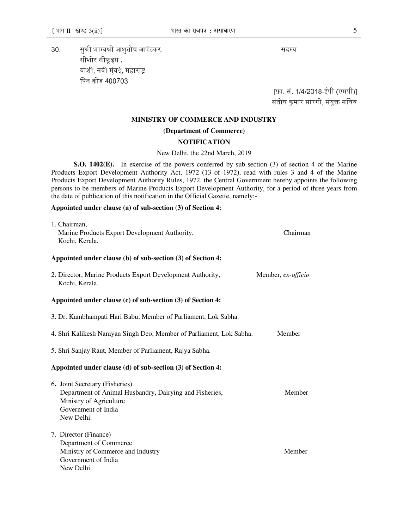30. EB nEN&)4NA?
, : सीशोर सीफूड्स , वाशी, नवी मंबई, महाराष्ट िपन कोड 400703

[फ़ा. सं. 1/4/2018-ईपी (एमपी)] संतोष कुमार सारंगी, संयुक्त सचिव

#### **MINISTRY OF COMMERCE AND INDUSTRY**

#### **(Department of Commerce)**

#### **NOTIFICATION**

#### New Delhi, the 22nd March, 2019

**S.O. 1402(E).**—In exercise of the powers conferred by sub-section (3) of section 4 of the Marine Products Export Development Authority Act, 1972 (13 of 1972), read with rules 3 and 4 of the Marine Products Export Development Authority Rules, 1972, the Central Government hereby appoints the following persons to be members of Marine Products Export Development Authority, for a period of three years from the date of publication of this notification in the Official Gazette, namely:-

#### **Appointed under clause (a) of sub-section (3) of Section 4:**

| 1. Chairman,<br>Marine Products Export Development Authority,<br>Kochi, Kerala.                                                                           | Chairman           |  |
|-----------------------------------------------------------------------------------------------------------------------------------------------------------|--------------------|--|
| Appointed under clause (b) of sub-section (3) of Section 4:                                                                                               |                    |  |
| 2. Director, Marine Products Export Development Authority,<br>Kochi, Kerala.                                                                              | Member, ex-officio |  |
| Appointed under clause (c) of sub-section (3) of Section 4:                                                                                               |                    |  |
| 3. Dr. Kambhampati Hari Babu, Member of Parliament, Lok Sabha.                                                                                            |                    |  |
| 4. Shri Kalikesh Narayan Singh Deo, Member of Parliament, Lok Sabha.                                                                                      | Member             |  |
| 5. Shri Sanjay Raut, Member of Parliament, Rajya Sabha.                                                                                                   |                    |  |
| Appointed under clause (d) of sub-section (3) of Section 4:                                                                                               |                    |  |
| 6. Joint Secretary (Fisheries)<br>Department of Animal Husbandry, Dairying and Fisheries,<br>Ministry of Agriculture<br>Government of India<br>New Delhi. | Member             |  |
| 7. Director (Finance)<br>Department of Commerce<br>Ministry of Commerce and Industry<br>Government of India<br>New Delhi.                                 | Member             |  |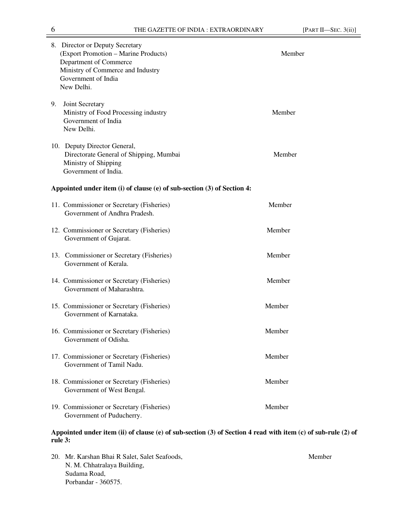|    | 8. Director or Deputy Secretary<br>(Export Promotion - Marine Products)<br>Department of Commerce<br>Ministry of Commerce and Industry<br>Government of India<br>New Delhi. | Member |
|----|-----------------------------------------------------------------------------------------------------------------------------------------------------------------------------|--------|
| 9. | Joint Secretary<br>Ministry of Food Processing industry<br>Government of India<br>New Delhi.                                                                                | Member |
|    | 10. Deputy Director General,<br>Directorate General of Shipping, Mumbai<br>Ministry of Shipping<br>Government of India.                                                     | Member |
|    | Appointed under item (i) of clause (e) of sub-section (3) of Section 4:                                                                                                     |        |
|    | 11. Commissioner or Secretary (Fisheries)<br>Government of Andhra Pradesh.                                                                                                  | Member |
|    | 12. Commissioner or Secretary (Fisheries)<br>Government of Gujarat.                                                                                                         | Member |
|    | 13. Commissioner or Secretary (Fisheries)<br>Government of Kerala.                                                                                                          | Member |
|    | 14. Commissioner or Secretary (Fisheries)<br>Government of Maharashtra.                                                                                                     | Member |
|    | 15. Commissioner or Secretary (Fisheries)<br>Government of Karnataka.                                                                                                       | Member |
|    | 16. Commissioner or Secretary (Fisheries)<br>Government of Odisha.                                                                                                          | Member |
|    | 17. Commissioner or Secretary (Fisheries)<br>Government of Tamil Nadu.                                                                                                      | Member |
|    | 18. Commissioner or Secretary (Fisheries)<br>Government of West Bengal.                                                                                                     | Member |
|    | 19. Commissioner or Secretary (Fisheries)<br>Government of Puducherry.                                                                                                      | Member |

#### **Appointed under item (ii) of clause (e) of sub-section (3) of Section 4 read with item (c) of sub-rule (2) of rule 3:**

20. Mr. Karshan Bhai R Salet, Salet Seafoods, Member N. M. Chhatralaya Building, Sudama Road, Porbandar - 360575.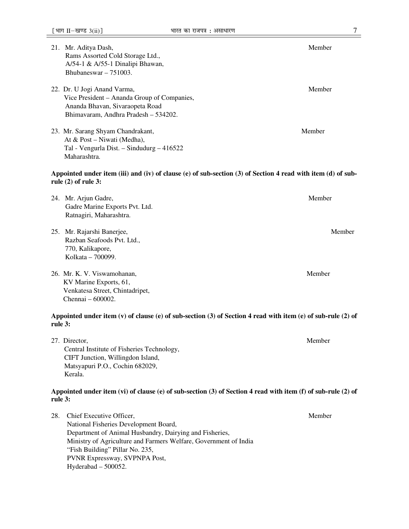- 21. Mr. Aditya Dash, Member Rams Assorted Cold Storage Ltd., A/54-1 & A/55-1 Dinalipi Bhawan, Bhubaneswar – 751003.
- 22. Dr. U Jogi Anand Varma, and the same of the same of the same of the same of the same of the same of the same of the same of the same of the same of the same of the same of the same of the same of the same of the same o Vice President – Ananda Group of Companies, Ananda Bhavan, Sivaraopeta Road Bhimavaram, Andhra Pradesh – 534202.
- 23. Mr. Sarang Shyam Chandrakant, Member At & Post – Niwati (Medha), Tal - Vengurla Dist. – Sindudurg – 416522 Maharashtra.

#### **Appointed under item (iii) and (iv) of clause (e) of sub-section (3) of Section 4 read with item (d) of subrule (2) of rule 3:**

| 24. Mr. Arjun Gadre,<br>Gadre Marine Exports Pvt. Ltd.<br>Ratnagiri, Maharashtra.                               | Member |
|-----------------------------------------------------------------------------------------------------------------|--------|
| 25. Mr. Rajarshi Banerjee,<br>Razban Seafoods Pvt. Ltd.,<br>770, Kalikapore,<br>Kolkata – 700099.               | Member |
| 26. Mr. K. V. Viswamohanan,<br>KV Marine Exports, 61,<br>Venkatesa Street, Chintadripet,<br>Chennai $-600002$ . | Member |

#### **Appointed under item (v) of clause (e) of sub-section (3) of Section 4 read with item (e) of sub-rule (2) of rule 3:**

27. Director, Member Central Institute of Fisheries Technology, CIFT Junction, Willingdon Island, Matsyapuri P.O., Cochin 682029, Kerala.

#### **Appointed under item (vi) of clause (e) of sub-section (3) of Section 4 read with item (f) of sub-rule (2) of rule 3:**

|  | 28. Chief Executive Officer,                                     | Member |
|--|------------------------------------------------------------------|--------|
|  | National Fisheries Development Board,                            |        |
|  | Department of Animal Husbandry, Dairying and Fisheries,          |        |
|  | Ministry of Agriculture and Farmers Welfare, Government of India |        |
|  | "Fish Building" Pillar No. 235,                                  |        |
|  | <b>PVNR Expressway, SVPNPA Post,</b>                             |        |
|  | Hyderabad $-500052$ .                                            |        |
|  |                                                                  |        |